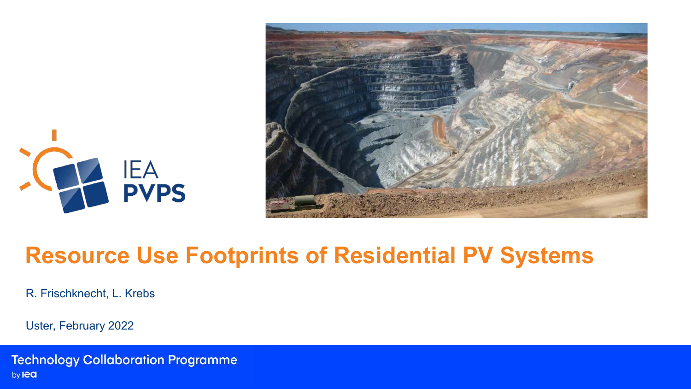



## **Resource Use Footprints of Residential PV Systems**

R. Frischknecht, L. Krebs

Uster, February 2022

**Technology Collaboration Programme** by lea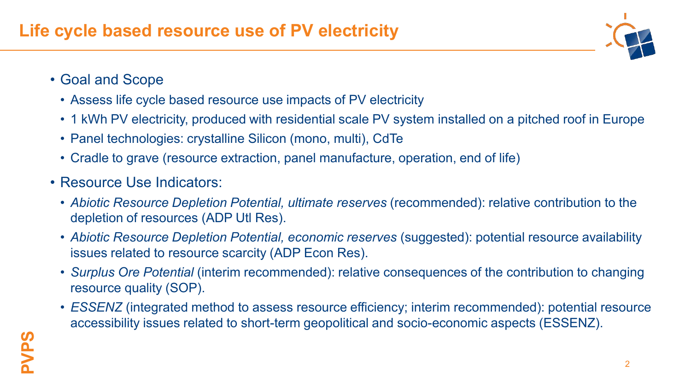

- Goal and Scope
	- Assess life cycle based resource use impacts of PV electricity
	- 1 kWh PV electricity, produced with residential scale PV system installed on a pitched roof in Europe
	- Panel technologies: crystalline Silicon (mono, multi), CdTe
	- Cradle to grave (resource extraction, panel manufacture, operation, end of life)
- Resource Use Indicators:
	- *Abiotic Resource Depletion Potential, ultimate reserves* (recommended): relative contribution to the depletion of resources (ADP Utl Res).
	- *Abiotic Resource Depletion Potential, economic reserves (suggested): potential resource availability* issues related to resource scarcity (ADP Econ Res).
	- *Surplus Ore Potential* (interim recommended): relative consequences of the contribution to changing resource quality (SOP).
	- *ESSENZ* (integrated method to assess resource efficiency; interim recommended): potential resource accessibility issues related to short-term geopolitical and socio-economic aspects (ESSENZ).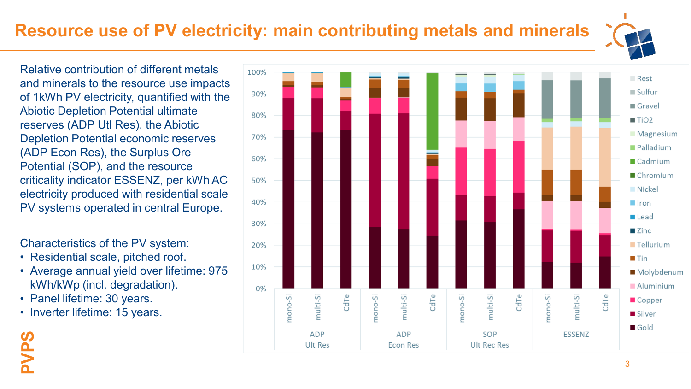## **Resource use of PV electricity: main contributing metals and minerals**

Relative contribution of different metals and minerals to the resource use impacts of 1kWh PV electricity, quantified with the Abiotic Depletion Potential ultimate reserves (ADP Utl Res), the Abiotic Depletion Potential economic reserves (ADP Econ Res), the Surplus Ore Potential (SOP), and the resource criticality indicator ESSENZ, per kWh AC electricity produced with residential scale PV systems operated in central Europe.

Characteristics of the PV system:

- Residential scale, pitched roof.
- Average annual yield over lifetime: 975 kWh/kWp (incl. degradation).
- Panel lifetime: 30 years.
- Inverter lifetime: 15 years.